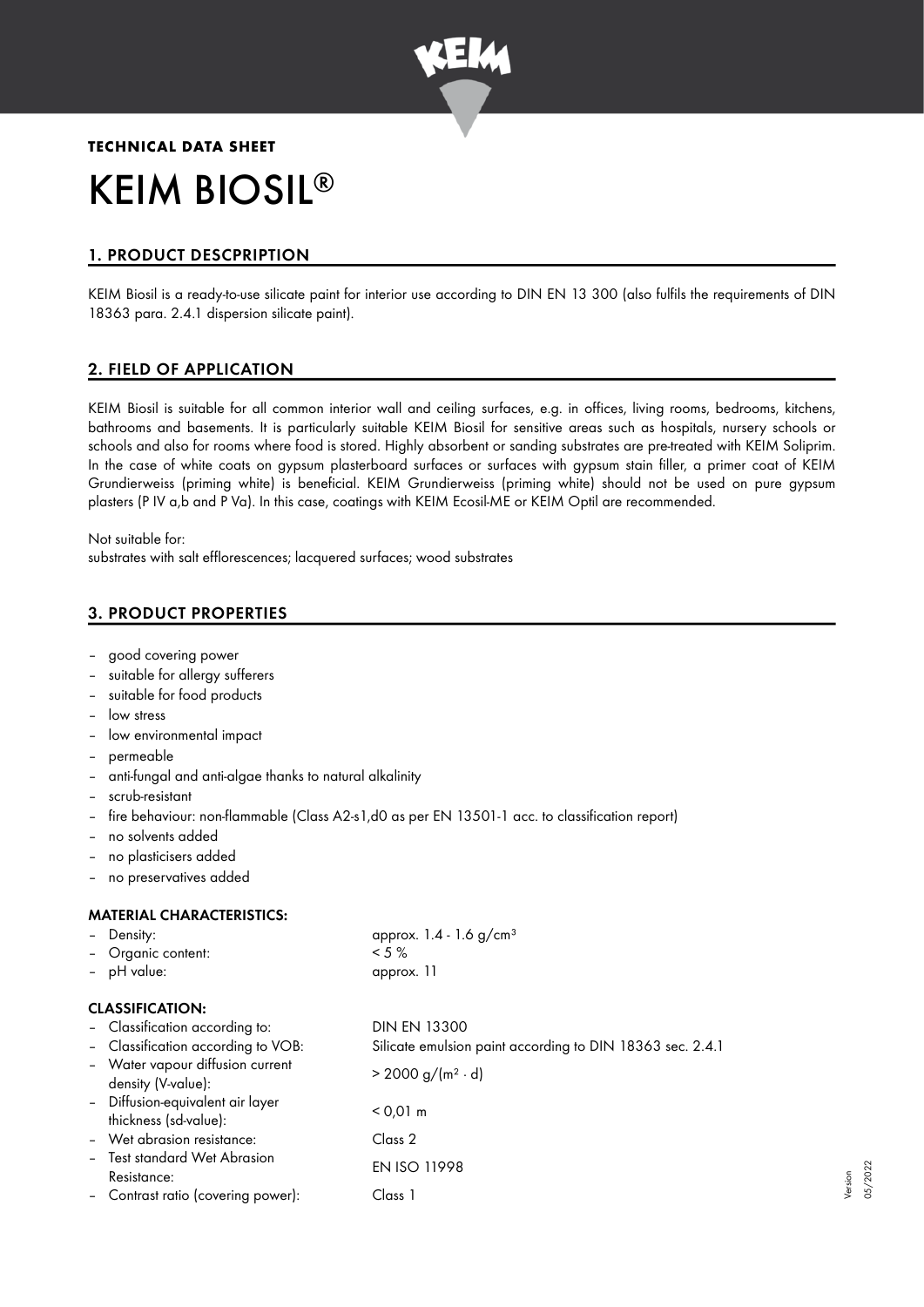

# **TECHNICAL DATA SHEET** KEIM BIOSIL ®

# 1. PRODUCT DESCPRIPTION

KEIM Biosil is a ready-to-use silicate paint for interior use according to DIN EN 13 300 (also fulfils the requirements of DIN 18363 para. 2.4.1 dispersion silicate paint).

# 2. FIELD OF APPLICATION

KEIM Biosil is suitable for all common interior wall and ceiling surfaces, e.g. in offices, living rooms, bedrooms, kitchens, bathrooms and basements. It is particularly suitable KEIM Biosil for sensitive areas such as hospitals, nursery schools or schools and also for rooms where food is stored. Highly absorbent or sanding substrates are pre-treated with KEIM Soliprim. In the case of white coats on gypsum plasterboard surfaces or surfaces with gypsum stain filler, a primer coat of KEIM Grundierweiss (priming white) is beneficial. KEIM Grundierweiss (priming white) should not be used on pure gypsum plasters (P IV a,b and P Va). In this case, coatings with KEIM Ecosil-ME or KEIM Optil are recommended.

Not suitable for: substrates with salt efflorescences; lacquered surfaces; wood substrates

# 3. PRODUCT PROPERTIES

- good covering power
- suitable for alleray sufferers
- suitable for food products
- low stress
- low environmental impact
- permeable
- anti-fungal and anti-algae thanks to natural alkalinity
- scrub-resistant
- fire behaviour: non-flammable (Class A2-s1,d0 as per EN 13501-1 acc. to classification report)
- no solvents added
- no plasticisers added
- no preservatives added

## MATERIAL CHARACTERISTICS:

| Density:                                                  | approx. $1.4 - 1.6$ g/cm <sup>3</sup>                     |
|-----------------------------------------------------------|-----------------------------------------------------------|
| Organic content:                                          | $< 5 \%$                                                  |
| - pH value:                                               | approx. 11                                                |
| <b>CLASSIFICATION:</b>                                    |                                                           |
| - Classification according to:                            | <b>DIN EN 13300</b>                                       |
| - Classification according to VOB:                        | Silicate emulsion paint according to DIN 18363 sec. 2.4.1 |
| - Water vapour diffusion current<br>density (V-value):    | $> 2000 g/(m^2 \cdot d)$                                  |
| - Diffusion-equivalent air layer<br>thickness (sd-value): | $< 0.01$ m                                                |
| - Wet abrasion resistance:                                | Class 2                                                   |
| Test standard Wet Abrasion<br>Resistance:                 | <b>EN ISO 11998</b>                                       |
| - Contrast ratio (covering power):                        | Class 1                                                   |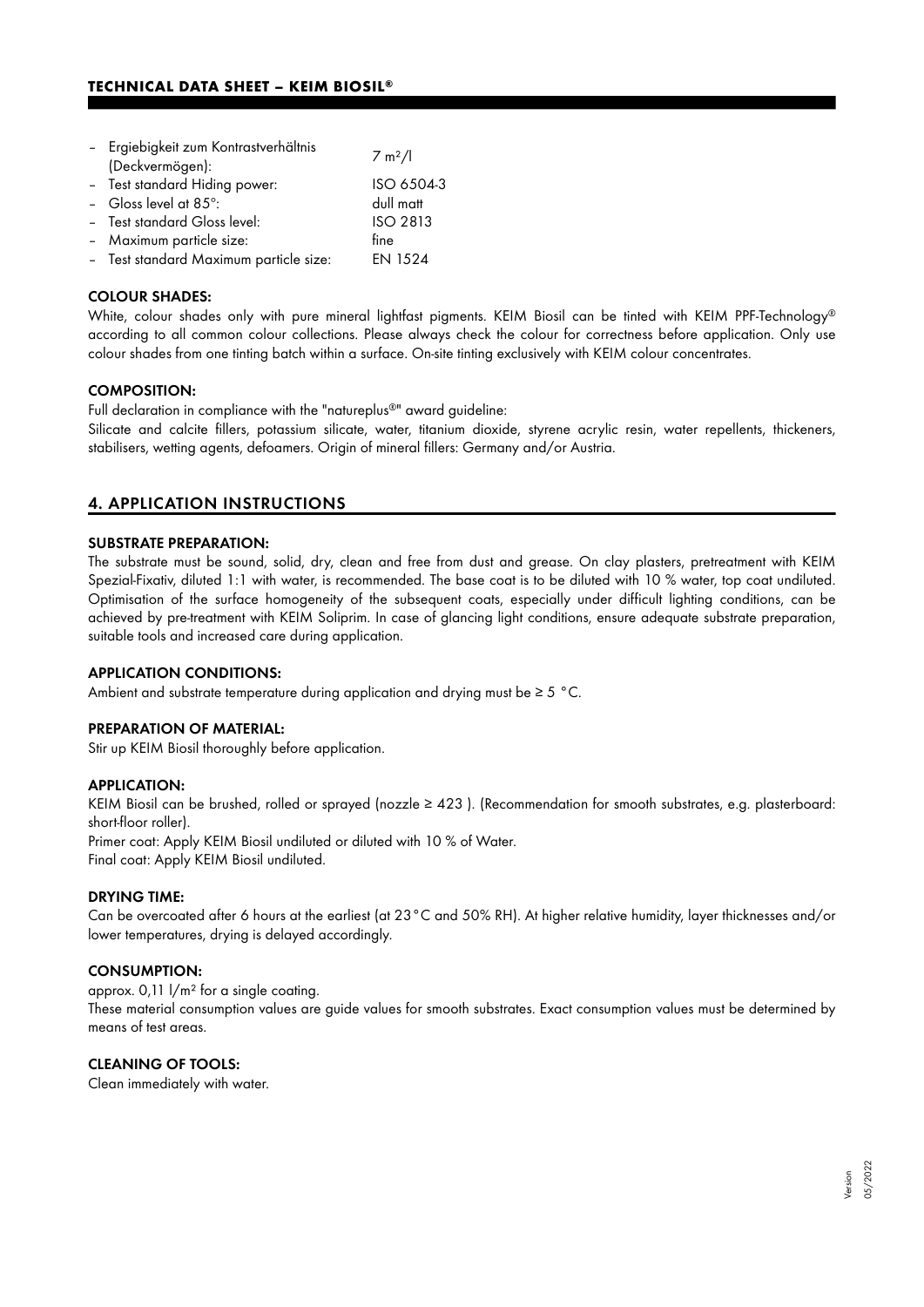| - Ergiebigkeit zum Kontrastverhältnis<br>(Deckvermögen): | 7 m <sup>2</sup> /1 |
|----------------------------------------------------------|---------------------|
| - Test standard Hiding power:                            | ISO 6504-3          |
| - Gloss level at $85^\circ$ :                            | dull matt           |
| - Test standard Gloss level:                             | <b>ISO 2813</b>     |
| - Maximum particle size:                                 | fine                |
| - Test standard Maximum particle size:                   | <b>EN 1524</b>      |

#### COLOUR SHADES:

White, colour shades only with pure mineral lightfast pigments. KEIM Biosil can be tinted with KEIM PPF-Technology ® according to all common colour collections. Please always check the colour for correctness before application. Only use colour shades from one tinting batch within a surface. On-site tinting exclusively with KEIM colour concentrates.

#### COMPOSITION:

Full declaration in compliance with the "natureplus®" award guideline:

Silicate and calcite fillers, potassium silicate, water, titanium dioxide, styrene acrylic resin, water repellents, thickeners, stabilisers, wetting agents, defoamers. Origin of mineral fillers: Germany and/or Austria.

## 4. APPLICATION INSTRUCTIONS

#### SUBSTRATE PREPARATION:

The substrate must be sound, solid, dry, clean and free from dust and grease. On clay plasters, pretreatment with KEIM Spezial-Fixativ, diluted 1:1 with water, is recommended. The base coat is to be diluted with 10 % water, top coat undiluted. Optimisation of the surface homogeneity of the subsequent coats, especially under difficult lighting conditions, can be achieved by pre-treatment with KEIM Soliprim. In case of glancing light conditions, ensure adequate substrate preparation, suitable tools and increased care during application.

#### APPLICATION CONDITIONS:

Ambient and substrate temperature during application and drying must be  $\geq 5$  °C.

#### PREPARATION OF MATERIAL:

Stir up KEIM Biosil thoroughly before application.

#### APPLICATION:

KEIM Biosil can be brushed, rolled or sprayed (nozzle ≥ 423 ). (Recommendation for smooth substrates, e.g. plasterboard: short-floor roller). Primer coat: Apply KEIM Biosil undiluted or diluted with 10 % of Water. Final coat: Apply KEIM Biosil undiluted.

DRYING TIME:

Can be overcoated after 6 hours at the earliest (at 23°C and 50% RH). At higher relative humidity, layer thicknesses and/or lower temperatures, drying is delayed accordingly.

#### CONSUMPTION:

approx. 0,11 l/m² for a single coating.

These material consumption values are guide values for smooth substrates. Exact consumption values must be determined by means of test areas.

## CLEANING OF TOOLS:

Clean immediately with water.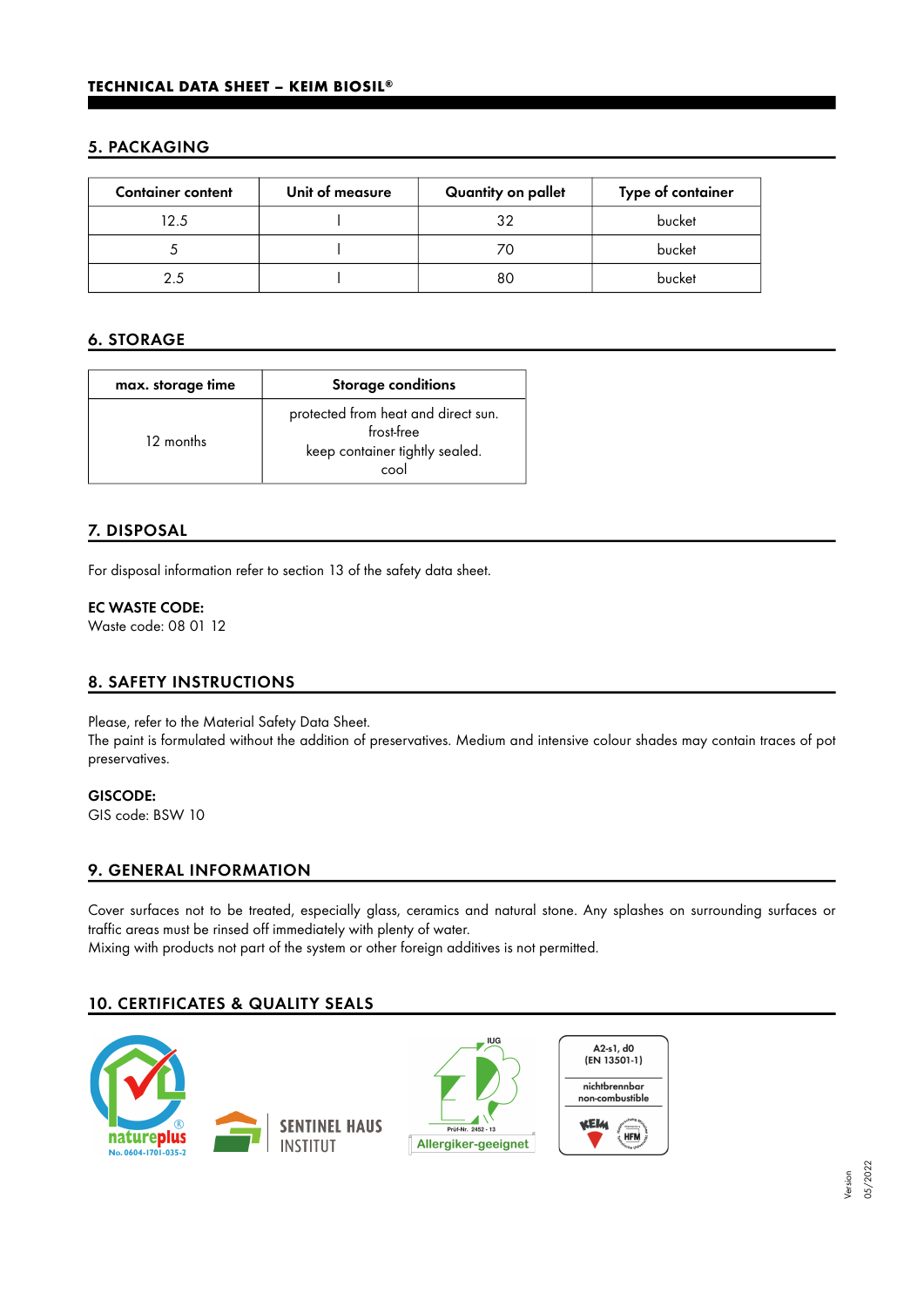## 5. PACKAGING

| <b>Container content</b> | Unit of measure | Quantity on pallet | Type of container |
|--------------------------|-----------------|--------------------|-------------------|
| 12.5                     |                 | 32                 | bucket            |
|                          |                 |                    | bucket            |
|                          |                 | 80                 | bucket            |

# 6. STORAGE

| max. storage time | <b>Storage conditions</b>                                                                   |
|-------------------|---------------------------------------------------------------------------------------------|
| 12 months         | protected from heat and direct sun.<br>frost-free<br>keep container tightly sealed.<br>cool |

## 7. DISPOSAL

For disposal information refer to section 13 of the safety data sheet.

## EC WASTE CODE:

Waste code: 08 01 12

## 8. SAFETY INSTRUCTIONS

Please, refer to the Material Safety Data Sheet.

The paint is formulated without the addition of preservatives. Medium and intensive colour shades may contain traces of pot preservatives.

GISCODE: GIS code: BSW 10

## 9. GENERAL INFORMATION

Cover surfaces not to be treated, especially glass, ceramics and natural stone. Any splashes on surrounding surfaces or traffic areas must be rinsed off immediately with plenty of water.

Mixing with products not part of the system or other foreign additives is not permitted.

## 10. CERTIFICATES & QUALITY SEALS